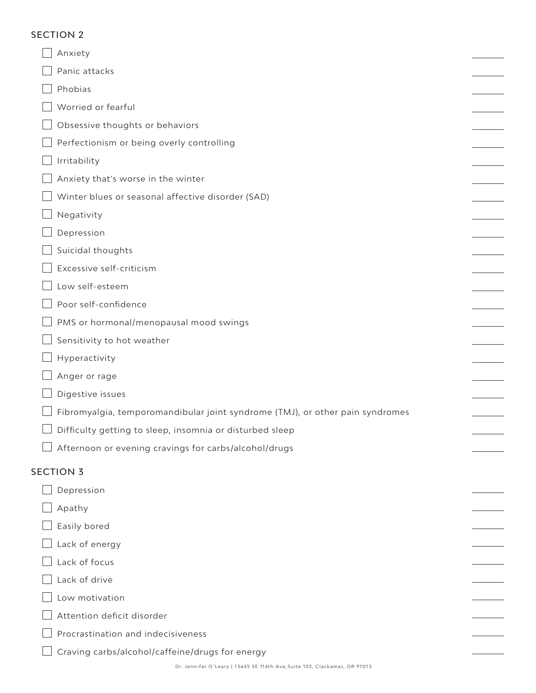## SECTION 2

| Anxiety                                                                       |  |
|-------------------------------------------------------------------------------|--|
| Panic attacks                                                                 |  |
| Phobias                                                                       |  |
| Worried or fearful                                                            |  |
| Obsessive thoughts or behaviors                                               |  |
| Perfectionism or being overly controlling                                     |  |
| Irritability                                                                  |  |
| Anxiety that's worse in the winter                                            |  |
| Winter blues or seasonal affective disorder (SAD)                             |  |
| Negativity                                                                    |  |
| Depression                                                                    |  |
| Suicidal thoughts                                                             |  |
| Excessive self-criticism                                                      |  |
| Low self-esteem                                                               |  |
| Poor self-confidence                                                          |  |
| PMS or hormonal/menopausal mood swings                                        |  |
| Sensitivity to hot weather                                                    |  |
| Hyperactivity                                                                 |  |
| Anger or rage                                                                 |  |
| Digestive issues                                                              |  |
| Fibromyalgia, temporomandibular joint syndrome (TMJ), or other pain syndromes |  |
| Difficulty getting to sleep, insomnia or disturbed sleep                      |  |
| Afternoon or evening cravings for carbs/alcohol/drugs                         |  |
| <b>SECTION 3</b>                                                              |  |
| Depression                                                                    |  |
| Apathy                                                                        |  |
| Easily bored                                                                  |  |
| Lack of energy                                                                |  |
| Lack of focus                                                                 |  |
| Lack of drive                                                                 |  |
| Low motivation                                                                |  |
| Attention deficit disorder                                                    |  |
| Procrastination and indecisiveness                                            |  |
| Craving carbs/alcohol/caffeine/drugs for energy                               |  |
|                                                                               |  |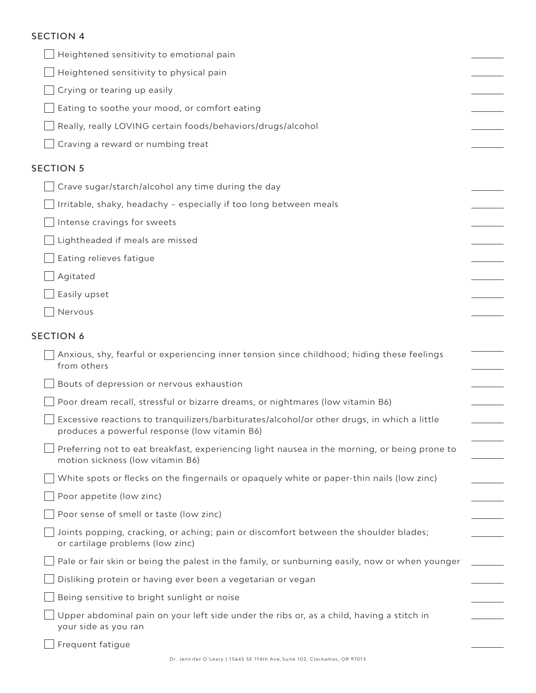## SECTION 4

| Heightened sensitivity to emotional pain                                                                                                     |  |
|----------------------------------------------------------------------------------------------------------------------------------------------|--|
| Heightened sensitivity to physical pain                                                                                                      |  |
| Crying or tearing up easily                                                                                                                  |  |
| Eating to soothe your mood, or comfort eating                                                                                                |  |
| Really, really LOVING certain foods/behaviors/drugs/alcohol                                                                                  |  |
| Craving a reward or numbing treat                                                                                                            |  |
| <b>SECTION 5</b>                                                                                                                             |  |
| Crave sugar/starch/alcohol any time during the day                                                                                           |  |
| Irritable, shaky, headachy - especially if too long between meals                                                                            |  |
| Intense cravings for sweets                                                                                                                  |  |
| $\Box$ Lightheaded if meals are missed                                                                                                       |  |
| Eating relieves fatigue                                                                                                                      |  |
| Agitated                                                                                                                                     |  |
| Easily upset                                                                                                                                 |  |
| Nervous                                                                                                                                      |  |
| <b>SECTION 6</b>                                                                                                                             |  |
| Anxious, shy, fearful or experiencing inner tension since childhood; hiding these feelings<br>from others                                    |  |
| Bouts of depression or nervous exhaustion                                                                                                    |  |
| Poor dream recall, stressful or bizarre dreams, or nightmares (low vitamin B6)                                                               |  |
| Excessive reactions to tranquilizers/barbiturates/alcohol/or other drugs, in which a little<br>produces a powerful response (low vitamin B6) |  |
| Preferring not to eat breakfast, experiencing light nausea in the morning, or being prone to<br>motion sickness (low vitamin B6)             |  |
| White spots or flecks on the fingernails or opaquely white or paper-thin nails (low zinc)                                                    |  |
| Poor appetite (low zinc)                                                                                                                     |  |
| Poor sense of smell or taste (low zinc)                                                                                                      |  |
| Joints popping, cracking, or aching; pain or discomfort between the shoulder blades;<br>or cartilage problems (low zinc)                     |  |
| Pale or fair skin or being the palest in the family, or sunburning easily, now or when younger                                               |  |
| Disliking protein or having ever been a vegetarian or vegan                                                                                  |  |
| Being sensitive to bright sunlight or noise                                                                                                  |  |
| Upper abdominal pain on your left side under the ribs or, as a child, having a stitch in<br>your side as you ran                             |  |
| Frequent fatigue                                                                                                                             |  |